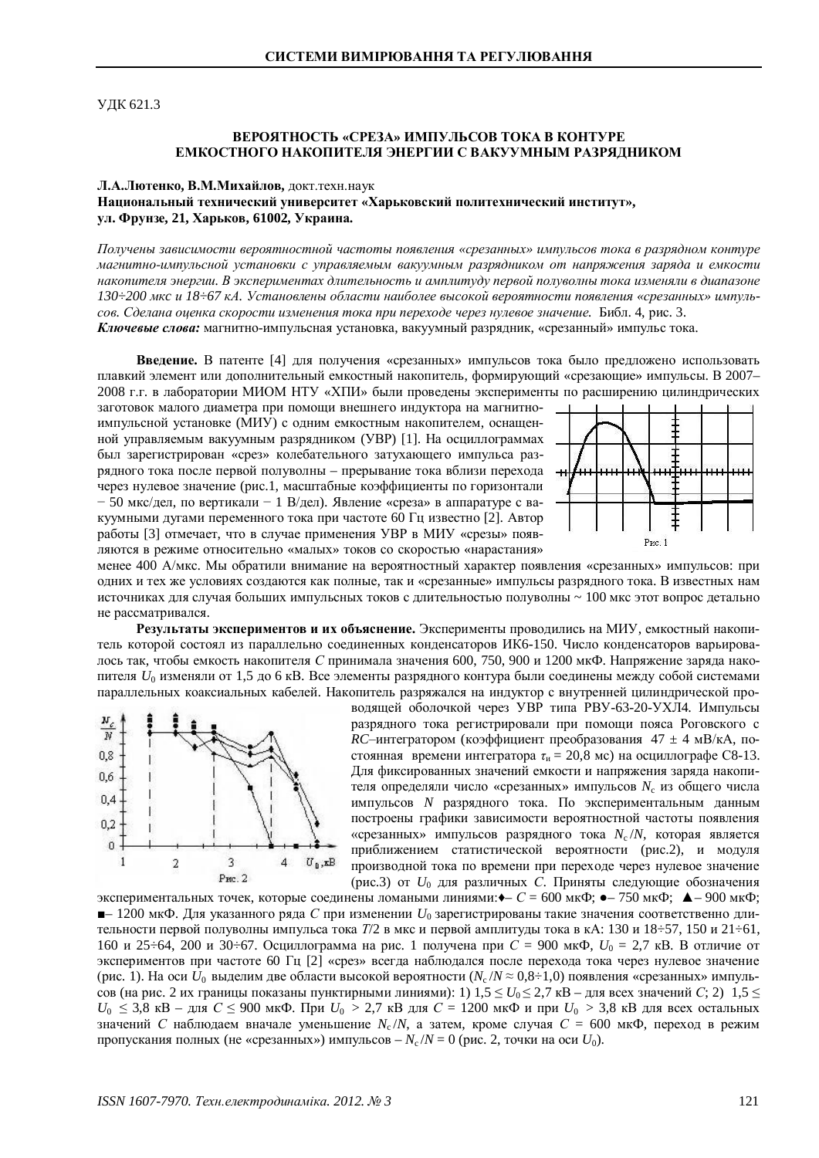**УЛК 621.3** 

### **ȼȿɊɈəɌɇɈɋɌɖ «ɋɊȿɁȺ» ɂɆɉɍɅɖɋɈȼɌɈɄȺȼɄɈɇɌɍɊȿ ЕМКОСТНОГО НАКОПИТЕЛЯ ЭНЕРГИИ С ВАКУУМНЫМ РАЗРЯДНИКОМ**

#### **Л.А.Лютенко, В.М.Михайлов, докт.техн.наук**

## Национальный технический университет «Харьковский политехнический институт», ул. Фрунзе, 21, Харьков, 61002, Украина.

Получены зависимости вероятностной частоты появления «срезанных» импульсов тока в разрядном контуре магнитно-импульсной установки с управляемым вакуумным разрядником от напряжения заряда и емкости накопителя энергии. В экспериментах длительность и амплитуду первой полуволны тока изменяли в диапазоне  $130\div 200$  мкс и  $18\div 67$  кА. Установлены области наиболее высокой вероятности появления «срезанных» импуль*ɫɨɜ. ɋɞɟɥɚɧɚɨɰɟɧɤɚɫɤɨɪɨɫɬɢɢɡɦɟɧɟɧɢɹɬɨɤɚɩɪɢɩɟɪɟɯɨɞɟɱɟɪɟɡɧɭɥɟɜɨɟɡɧɚɱɟɧɢɟ.* Ȼɢɛɥ. 4, ɪɢɫ. 3. Ключевые слова: магнитно-импульсная установка, вакуумный разрядник, «срезанный» импульс тока.

Введение. В патенте [4] для получения «срезанных» импульсов тока было предложено использовать плавкий элемент или дополнительный емкостный накопитель, формирующий «срезающие» импульсы. В 2007-2008 г.г. в лаборатории МИОМ НТУ «ХПИ» были проведены эксперименты по расширению цилиндрических

заготовок малого диаметра при помощи внешнего индуктора на магнитноимпульсной установке (МИУ) с одним емкостным накопителем, оснащенной управляемым вакуумным разрядником (УВР) [1]. На осциллограммах был зарегистрирован «срез» колебательного затухающего импульса разрядного тока после первой полуволны – прерывание тока вблизи перехода через нулевое значение (рис.1, масштабные коэффициенты по горизонтали – 50 мкс/дел, по вертикали – 1 В/дел). Явление «среза» в аппаратуре с вакуумными дугами переменного тока при частоте 60 Гц известно [2]. Автор работы [3] отмечает, что в случае применения УВР в МИУ «срезы» появляются в режиме относительно «малых» токов со скоростью «нарастания»



менее 400 А/мкс. Мы обратили внимание на вероятностный характер появления «срезанных» импульсов: при одних и тех же условиях создаются как полные, так и «срезанные» импульсы разрядного тока. В известных нам источниках для случая больших импульсных токов с длительностью полуволны ~ 100 мкс этот вопрос детально не рассматривался.

Результаты экспериментов и их объяснение. Эксперименты проводились на МИУ, емкостный накопитель которой состоял из параллельно соелиненных конденсаторов ИК6-150. Число конденсаторов варьировалось так, чтобы емкость накопителя С принимала значения 600, 750, 900 и 1200 мкФ. Напряжение заряда накопителя  $U_0$  изменяли от 1.5 до 6 кВ. Все элементы разрядного контура были соединены между собой системами параллельных коаксиальных кабелей. Накопитель разряжался на индуктор с внутренней цилиндрической про-



водящей оболочкой через УВР типа РВУ-63-20-УХЛ4. Импульсы разрядного тока регистрировали при помощи пояса Роговского с *RC*-интегратором (коэффициент преобразования 47 ± 4 мВ/кА, постоянная времени интегратора  $\tau_u = 20.8$  мс) на осциллографе C8-13. Для фиксированных значений емкости и напряжения заряда накопителя определяли число «срезанных» импульсов N<sub>c</sub> из общего числа импульсов *N* разрядного тока. По экспериментальным данным построены графики зависимости вероятностной частоты появления «срезанных» импульсов разрядного тока N<sub>c</sub>/N, которая является приближением статистической вероятности (рис.2), и модуля производной тока по времени при переходе через нулевое значение (рис.3) от *U*<sub>0</sub> для различных *С*. Приняты следующие обозначения

 $\star$ кспериментальных точек, которые соединены ломаными линиями: $\bullet$ –  $C = 600$  мк $\Phi$ ;  $\bullet$ – 750 мк $\Phi$ ;  $\bullet$ – 900 мк $\Phi$ ;  $\blacksquare$ – 1200 мкФ. Для указанного ряда *С* при изменении  $U_0$  зарегистрированы такие значения соответственно длительности первой полуволны импульса тока *Т*/2 в мкс и первой амплитуды тока в кА: 130 и 18÷57, 150 и 21÷61, 160 и 25÷64, 200 и 30÷67. Осциллограмма на рис. 1 получена при C = 900 мкФ, U<sub>0</sub> = 2,7 кВ. В отличие от экспериментов при частоте 60 Гц [2] «срез» всегда наблюдался после перехода тока через нулевое значение (рис. 1). На оси  $U_0$  выделим две области высокой вероятности (N<sub>c</sub>/N ≈ 0,8÷1,0) появления «срезанных» импульсов (на рис. 2 их границы показаны пунктирными линиями): 1) 1,5 ≤ U<sub>0</sub> ≤ 2,7 кВ – для всех значений C; 2) 1,5 ≤  $U_0 \leq 3.8$  кВ – для  $C \leq 900$  мкФ. При  $U_0 > 2.7$  кВ для  $C = 1200$  мкФ и при  $U_0 > 3.8$  кВ для всех остальных значений С наблюдаем вначале уменьшение N<sub>c</sub>/N, а затем, кроме случая C = 600 мкФ, переход в режим пропускания полных (не «срезанных») импульсов –  $N_c/N = 0$  (рис. 2, точки на оси  $U_0$ ).